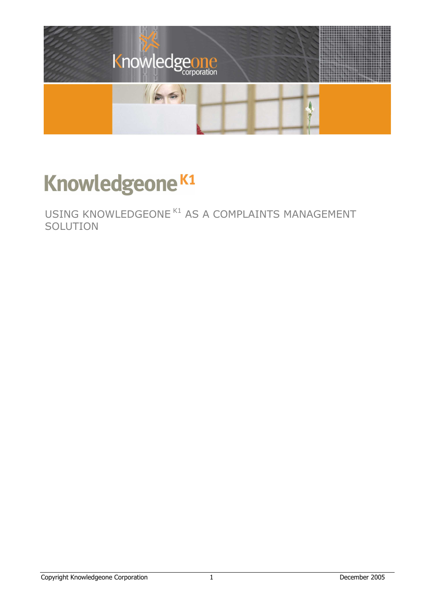

# Knowledgeone<sup>K1</sup>

USING KNOWLEDGEONE K1 AS A COMPLAINTS MANAGEMENT **SOLUTION**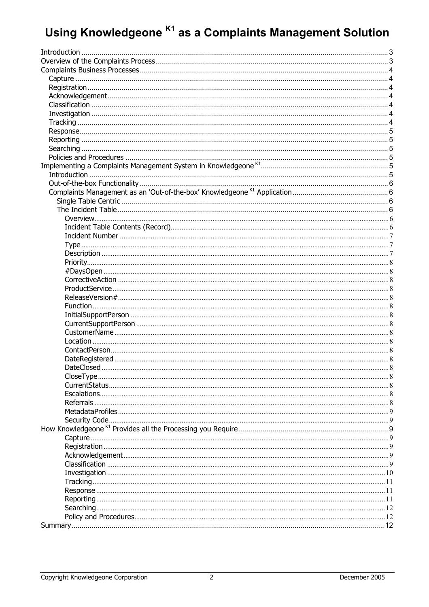## Using Knowledgeone K1 as a Complaints Management Solution

| CloseType      | . 8            |
|----------------|----------------|
|                |                |
|                |                |
| Referrals      | . 8            |
|                |                |
| Security Code. |                |
|                |                |
|                |                |
|                |                |
|                |                |
|                |                |
|                | $\lrcorner$ 10 |
|                | . 11           |
|                | . 11           |
|                | 11             |
|                | 12             |
|                | . . 12         |
|                | 12             |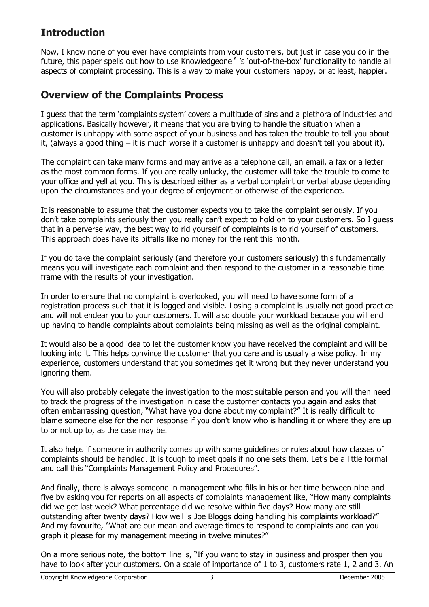## <span id="page-2-0"></span>**Introduction**

Now, I know none of you ever have complaints from your customers, but just in case you do in the future, this paper spells out how to use Knowledgeone <sup>K1</sup>'s 'out-of-the-box' functionality to handle all aspects of complaint processing. This is a way to make your customers happy, or at least, happier.

## **Overview of the Complaints Process**

I guess that the term 'complaints system' covers a multitude of sins and a plethora of industries and applications. Basically however, it means that you are trying to handle the situation when a customer is unhappy with some aspect of your business and has taken the trouble to tell you about it, (always a good thing – it is much worse if a customer is unhappy and doesn't tell you about it).

The complaint can take many forms and may arrive as a telephone call, an email, a fax or a letter as the most common forms. If you are really unlucky, the customer will take the trouble to come to your office and yell at you. This is described either as a verbal complaint or verbal abuse depending upon the circumstances and your degree of enjoyment or otherwise of the experience.

It is reasonable to assume that the customer expects you to take the complaint seriously. If you don't take complaints seriously then you really can't expect to hold on to your customers. So I guess that in a perverse way, the best way to rid yourself of complaints is to rid yourself of customers. This approach does have its pitfalls like no money for the rent this month.

If you do take the complaint seriously (and therefore your customers seriously) this fundamentally means you will investigate each complaint and then respond to the customer in a reasonable time frame with the results of your investigation.

In order to ensure that no complaint is overlooked, you will need to have some form of a registration process such that it is logged and visible. Losing a complaint is usually not good practice and will not endear you to your customers. It will also double your workload because you will end up having to handle complaints about complaints being missing as well as the original complaint.

It would also be a good idea to let the customer know you have received the complaint and will be looking into it. This helps convince the customer that you care and is usually a wise policy. In my experience, customers understand that you sometimes get it wrong but they never understand you ignoring them.

You will also probably delegate the investigation to the most suitable person and you will then need to track the progress of the investigation in case the customer contacts you again and asks that often embarrassing question, "What have you done about my complaint?" It is really difficult to blame someone else for the non response if you don't know who is handling it or where they are up to or not up to, as the case may be.

It also helps if someone in authority comes up with some guidelines or rules about how classes of complaints should be handled. It is tough to meet goals if no one sets them. Let's be a little formal and call this "Complaints Management Policy and Procedures".

And finally, there is always someone in management who fills in his or her time between nine and five by asking you for reports on all aspects of complaints management like, "How many complaints did we get last week? What percentage did we resolve within five days? How many are still outstanding after twenty days? How well is Joe Bloggs doing handling his complaints workload?" And my favourite, "What are our mean and average times to respond to complaints and can you graph it please for my management meeting in twelve minutes?"

On a more serious note, the bottom line is, "If you want to stay in business and prosper then you have to look after your customers. On a scale of importance of 1 to 3, customers rate 1, 2 and 3. An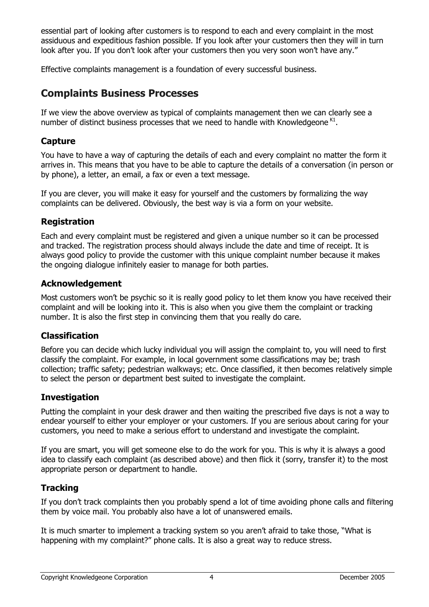<span id="page-3-0"></span>essential part of looking after customers is to respond to each and every complaint in the most assiduous and expeditious fashion possible. If you look after your customers then they will in turn look after you. If you don't look after your customers then you very soon won't have any."

Effective complaints management is a foundation of every successful business.

## **Complaints Business Processes**

If we view the above overview as typical of complaints management then we can clearly see a number of distinct business processes that we need to handle with Knowledgeone  $K1$ .

## **Capture**

You have to have a way of capturing the details of each and every complaint no matter the form it arrives in. This means that you have to be able to capture the details of a conversation (in person or by phone), a letter, an email, a fax or even a text message.

If you are clever, you will make it easy for yourself and the customers by formalizing the way complaints can be delivered. Obviously, the best way is via a form on your website.

## **Registration**

Each and every complaint must be registered and given a unique number so it can be processed and tracked. The registration process should always include the date and time of receipt. It is always good policy to provide the customer with this unique complaint number because it makes the ongoing dialogue infinitely easier to manage for both parties.

## **Acknowledgement**

Most customers won't be psychic so it is really good policy to let them know you have received their complaint and will be looking into it. This is also when you give them the complaint or tracking number. It is also the first step in convincing them that you really do care.

## **Classification**

Before you can decide which lucky individual you will assign the complaint to, you will need to first classify the complaint. For example, in local government some classifications may be; trash collection; traffic safety; pedestrian walkways; etc. Once classified, it then becomes relatively simple to select the person or department best suited to investigate the complaint.

## **Investigation**

Putting the complaint in your desk drawer and then waiting the prescribed five days is not a way to endear yourself to either your employer or your customers. If you are serious about caring for your customers, you need to make a serious effort to understand and investigate the complaint.

If you are smart, you will get someone else to do the work for you. This is why it is always a good idea to classify each complaint (as described above) and then flick it (sorry, transfer it) to the most appropriate person or department to handle.

## **Tracking**

If you don't track complaints then you probably spend a lot of time avoiding phone calls and filtering them by voice mail. You probably also have a lot of unanswered emails.

It is much smarter to implement a tracking system so you aren't afraid to take those, "What is happening with my complaint?" phone calls. It is also a great way to reduce stress.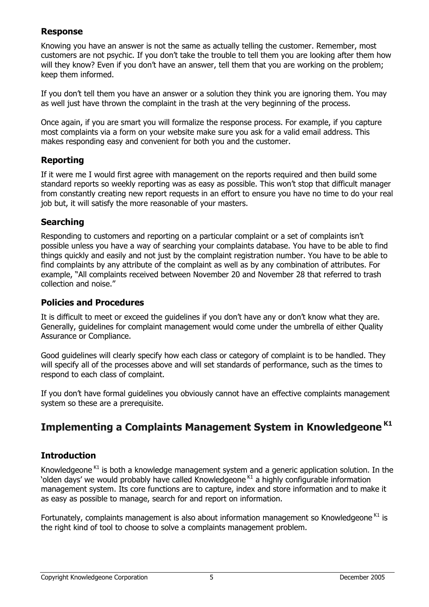## <span id="page-4-0"></span>**Response**

Knowing you have an answer is not the same as actually telling the customer. Remember, most customers are not psychic. If you don't take the trouble to tell them you are looking after them how will they know? Even if you don't have an answer, tell them that you are working on the problem; keep them informed.

If you don't tell them you have an answer or a solution they think you are ignoring them. You may as well just have thrown the complaint in the trash at the very beginning of the process.

Once again, if you are smart you will formalize the response process. For example, if you capture most complaints via a form on your website make sure you ask for a valid email address. This makes responding easy and convenient for both you and the customer.

## **Reporting**

If it were me I would first agree with management on the reports required and then build some standard reports so weekly reporting was as easy as possible. This won't stop that difficult manager from constantly creating new report requests in an effort to ensure you have no time to do your real job but, it will satisfy the more reasonable of your masters.

## **Searching**

Responding to customers and reporting on a particular complaint or a set of complaints isn't possible unless you have a way of searching your complaints database. You have to be able to find things quickly and easily and not just by the complaint registration number. You have to be able to find complaints by any attribute of the complaint as well as by any combination of attributes. For example, "All complaints received between November 20 and November 28 that referred to trash collection and noise."

#### **Policies and Procedures**

It is difficult to meet or exceed the guidelines if you don't have any or don't know what they are. Generally, guidelines for complaint management would come under the umbrella of either Quality Assurance or Compliance.

Good guidelines will clearly specify how each class or category of complaint is to be handled. They will specify all of the processes above and will set standards of performance, such as the times to respond to each class of complaint.

If you don't have formal guidelines you obviously cannot have an effective complaints management system so these are a prerequisite.

## **Implementing a Complaints Management System in Knowledgeone K1**

## **Introduction**

Knowledgeone<sup> $K1$ </sup> is both a knowledge management system and a generic application solution. In the 'olden days' we would probably have called Knowledgeone  $K1$  a highly configurable information management system. Its core functions are to capture, index and store information and to make it as easy as possible to manage, search for and report on information.

Fortunately, complaints management is also about information management so Knowledgeone  $K1$  is the right kind of tool to choose to solve a complaints management problem.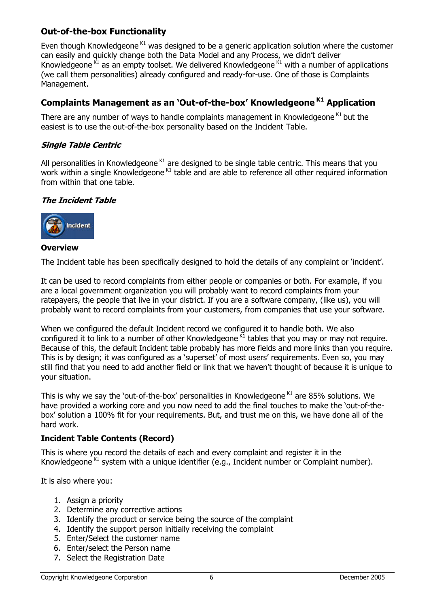## <span id="page-5-0"></span>**Out-of-the-box Functionality**

Even though Knowledgeone  $K1$  was designed to be a generic application solution where the customer can easily and quickly change both the Data Model and any Process, we didn't deliver Knowledgeone  $K1$  as an empty toolset. We delivered Knowledgeone  $K1$  with a number of applications (we call them personalities) already configured and ready-for-use. One of those is Complaints Management.

## **Complaints Management as an 'Out-of-the-box' Knowledgeone K1 Application**

There are any number of ways to handle complaints management in Knowledgeone  $K1$  but the easiest is to use the out-of-the-box personality based on the Incident Table.

#### **Single Table Centric**

All personalities in Knowledgeone $K1$  are designed to be single table centric. This means that you work within a single Knowledgeone <sup>K1</sup> table and are able to reference all other required information from within that one table.

#### **The Incident Table**



#### **Overview**

The Incident table has been specifically designed to hold the details of any complaint or 'incident'.

It can be used to record complaints from either people or companies or both. For example, if you are a local government organization you will probably want to record complaints from your ratepayers, the people that live in your district. If you are a software company, (like us), you will probably want to record complaints from your customers, from companies that use your software.

When we configured the default Incident record we configured it to handle both. We also configured it to link to a number of other Knowledgeone  $\overline{M}$  tables that you may or may not require. Because of this, the default Incident table probably has more fields and more links than you require. This is by design; it was configured as a 'superset' of most users' requirements. Even so, you may still find that you need to add another field or link that we haven't thought of because it is unique to your situation.

This is why we say the 'out-of-the-box' personalities in Knowledgeone  $K1$  are 85% solutions. We have provided a working core and you now need to add the final touches to make the 'out-of-thebox' solution a 100% fit for your requirements. But, and trust me on this, we have done all of the hard work.

#### **Incident Table Contents (Record)**

This is where you record the details of each and every complaint and register it in the Knowledgeone  $K1$  system with a unique identifier (e.g., Incident number or Complaint number).

It is also where you:

- 1. Assign a priority
- 2. Determine any corrective actions
- 3. Identify the product or service being the source of the complaint
- 4. Identify the support person initially receiving the complaint
- 5. Enter/Select the customer name
- 6. Enter/select the Person name
- 7. Select the Registration Date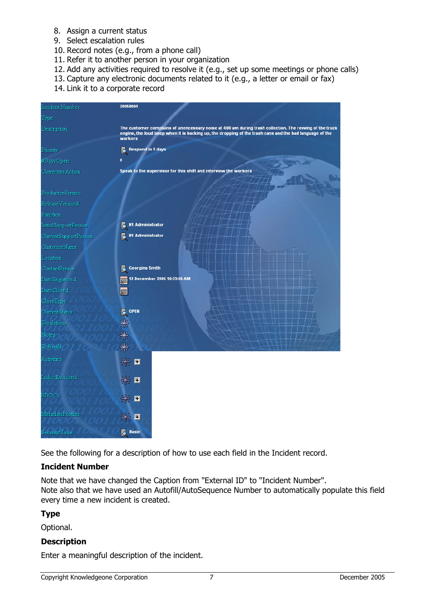- <span id="page-6-0"></span>8. Assign a current status
- 9. Select escalation rules
- 10. Record notes (e.g., from a phone call)
- 11. Refer it to another person in your organization
- 12. Add any activities required to resolve it (e.g., set up some meetings or phone calls)
- 13. Capture any electronic documents related to it (e.g., a letter or email or fax)
- 14. Link it to a corporate record

| Incident Number      | 20050004                          |                                                                                                                                                                                                                     |  |  |
|----------------------|-----------------------------------|---------------------------------------------------------------------------------------------------------------------------------------------------------------------------------------------------------------------|--|--|
| Type                 |                                   |                                                                                                                                                                                                                     |  |  |
| Description          | workers                           | The customer complains of unencessary noise at 4:00 am during trash collection. The revving of the truck<br>engine, the loud beep when it is backing up, the dropping of the trash cans and the bad language of the |  |  |
| Priority             | <b>Respond in 5 days</b>          |                                                                                                                                                                                                                     |  |  |
| #DaysOpen            | $\mathbf{0}$                      |                                                                                                                                                                                                                     |  |  |
| Corrective Action    |                                   | Speak to the supervisor for this shift and interview the workers                                                                                                                                                    |  |  |
|                      |                                   |                                                                                                                                                                                                                     |  |  |
| ProductorService     |                                   |                                                                                                                                                                                                                     |  |  |
| ReleaseVersion#      |                                   |                                                                                                                                                                                                                     |  |  |
| Function             |                                   |                                                                                                                                                                                                                     |  |  |
| InitialSupportPerson | <b>K1 Administrator</b><br>昆      |                                                                                                                                                                                                                     |  |  |
| CurrentSupportPerson | K1 Administrator                  |                                                                                                                                                                                                                     |  |  |
| CustomerName         |                                   |                                                                                                                                                                                                                     |  |  |
| Location             |                                   |                                                                                                                                                                                                                     |  |  |
| ContactPerson        | <b>Georgina Smith</b><br>Б        |                                                                                                                                                                                                                     |  |  |
| DateRegistered       | 12 December 2005 10:33:05 AM<br>疆 |                                                                                                                                                                                                                     |  |  |
| DateClosed           |                                   |                                                                                                                                                                                                                     |  |  |
| CloseType            |                                   |                                                                                                                                                                                                                     |  |  |
| CurrentStatus        | <b>E</b> OPEN                     |                                                                                                                                                                                                                     |  |  |
| Escalations          |                                   |                                                                                                                                                                                                                     |  |  |
| Notes                | 米米                                |                                                                                                                                                                                                                     |  |  |
| Referrals            | ₩                                 |                                                                                                                                                                                                                     |  |  |
| <b>Activities</b>    | * ∎                               |                                                                                                                                                                                                                     |  |  |
| LinkedIncidents      | * ⊡                               |                                                                                                                                                                                                                     |  |  |
| EDOCs                | * ∎                               |                                                                                                                                                                                                                     |  |  |
| MetadataProfiles     | 圓                                 |                                                                                                                                                                                                                     |  |  |
| SecurityCode         | <b>Basic</b><br>晑                 |                                                                                                                                                                                                                     |  |  |

See the following for a description of how to use each field in the Incident record.

#### **Incident Number**

Note that we have changed the Caption from "External ID" to "Incident Number". Note also that we have used an Autofill/AutoSequence Number to automatically populate this field every time a new incident is created.

## **Type**

Optional.

#### **Description**

Enter a meaningful description of the incident.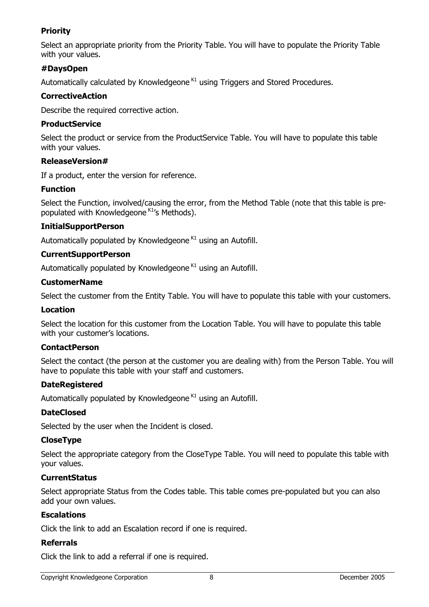## <span id="page-7-0"></span>**Priority**

Select an appropriate priority from the Priority Table. You will have to populate the Priority Table with your values.

#### **#DaysOpen**

Automatically calculated by Knowledgeone  $K1$  using Triggers and Stored Procedures.

#### **CorrectiveAction**

Describe the required corrective action.

#### **ProductService**

Select the product or service from the ProductService Table. You will have to populate this table with your values.

#### **ReleaseVersion#**

If a product, enter the version for reference.

#### **Function**

Select the Function, involved/causing the error, from the Method Table (note that this table is prepopulated with Knowledgeone K1's Methods).

#### **InitialSupportPerson**

Automatically populated by Knowledgeone<sup>K1</sup> using an Autofill.

#### **CurrentSupportPerson**

Automatically populated by Knowledgeone  $K1$  using an Autofill.

#### **CustomerName**

Select the customer from the Entity Table. You will have to populate this table with your customers.

#### **Location**

Select the location for this customer from the Location Table. You will have to populate this table with your customer's locations.

#### **ContactPerson**

Select the contact (the person at the customer you are dealing with) from the Person Table. You will have to populate this table with your staff and customers.

#### **DateRegistered**

Automatically populated by Knowledgeone  $K1$  using an Autofill.

#### **DateClosed**

Selected by the user when the Incident is closed.

#### **CloseType**

Select the appropriate category from the CloseType Table. You will need to populate this table with your values.

#### **CurrentStatus**

Select appropriate Status from the Codes table. This table comes pre-populated but you can also add your own values.

#### **Escalations**

Click the link to add an Escalation record if one is required.

#### **Referrals**

Click the link to add a referral if one is required.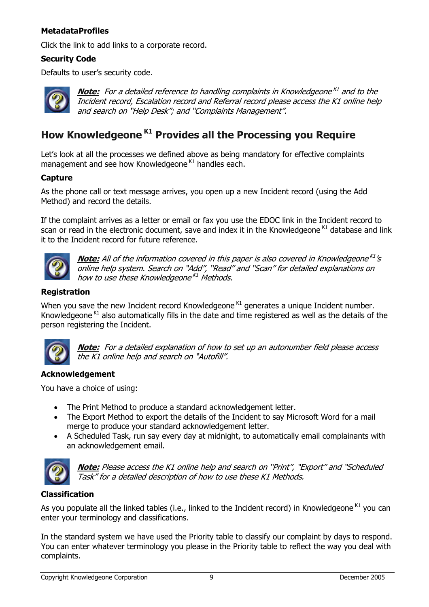#### <span id="page-8-0"></span>**MetadataProfiles**

Click the link to add links to a corporate record.

#### **Security Code**

Defaults to user's security code.



**Note:** For a detailed reference to handling complaints in Knowledgeone<sup>K1</sup> and to the Incident record, Escalation record and Referral record please access the K1 online help and search on "Help Desk"; and "Complaints Management".

## **How Knowledgeone K1 Provides all the Processing you Require**

Let's look at all the processes we defined above as being mandatory for effective complaints management and see how Knowledgeone  $K1$  handles each.

#### **Capture**

As the phone call or text message arrives, you open up a new Incident record (using the Add Method) and record the details.

If the complaint arrives as a letter or email or fax you use the EDOC link in the Incident record to scan or read in the electronic document, save and index it in the Knowledgeone  $K1$  database and link it to the Incident record for future reference.



**Note:** All of the information covered in this paper is also covered in Knowledgeone<sup>K1</sup>'s online help system. Search on "Add", "Read" and "Scan" for detailed explanations on how to use these Knowledgeone<sup>K1</sup> Methods.

#### **Registration**

When you save the new Incident record Knowledgeone  $K1$  generates a unique Incident number. Knowledgeone  $K1$  also automatically fills in the date and time registered as well as the details of the person registering the Incident.



**Note:** For a detailed explanation of how to set up an autonumber field please access the K1 online help and search on "Autofill".

#### **Acknowledgement**

You have a choice of using:

- The Print Method to produce a standard acknowledgement letter.
- The Export Method to export the details of the Incident to say Microsoft Word for a mail merge to produce your standard acknowledgement letter.
- A Scheduled Task, run say every day at midnight, to automatically email complainants with an acknowledgement email.



**Note:** Please access the K1 online help and search on "Print", "Export" and "Scheduled Task" for a detailed description of how to use these K1 Methods.

#### **Classification**

As you populate all the linked tables (i.e., linked to the Incident record) in Knowledgeone  $K1$  you can enter your terminology and classifications.

In the standard system we have used the Priority table to classify our complaint by days to respond. You can enter whatever terminology you please in the Priority table to reflect the way you deal with complaints.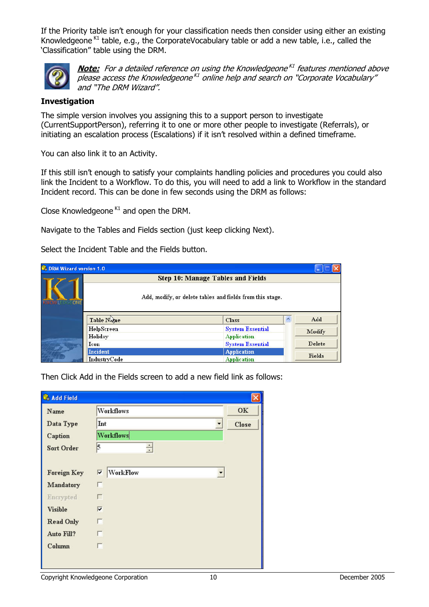<span id="page-9-0"></span>If the Priority table isn't enough for your classification needs then consider using either an existing Knowledgeone <sup>K1</sup> table, e.g., the CorporateVocabulary table or add a new table, i.e., called the 'Classification" table using the DRM.



**Note:** For a detailed reference on using the Knowledgeone<sup>K1</sup> features mentioned above please access the Knowledgeone<sup>K1</sup> online help and search on "Corporate Vocabulary" and "The DRM Wizard".

#### **Investigation**

The simple version involves you assigning this to a support person to investigate (CurrentSupportPerson), referring it to one or more other people to investigate (Referrals), or initiating an escalation process (Escalations) if it isn't resolved within a defined timeframe.

You can also link it to an Activity.

If this still isn't enough to satisfy your complaints handling policies and procedures you could also link the Incident to a Workflow. To do this, you will need to add a link to Workflow in the standard Incident record. This can be done in few seconds using the DRM as follows:

Close Knowledgeone  $K1$  and open the DRM.

Navigate to the Tables and Fields section (just keep clicking Next).

Select the Incident Table and the Fields button.

| <sup>3</sup> DRM Wizard version 1.0 |              |                                                           |   |               |
|-------------------------------------|--------------|-----------------------------------------------------------|---|---------------|
|                                     |              | <b>Step 10: Manage Tables and Fields</b>                  |   |               |
| ONE                                 |              | Add, modify, or delete tables and fields from this stage. |   |               |
|                                     | Table Name   | <b>Class</b>                                              | ٨ | Add           |
|                                     | HelpScreen   | <b>System Essential</b>                                   |   | Modify        |
|                                     | Holiday      | <b>Application</b>                                        |   |               |
|                                     | <b>Icon</b>  | <b>System Essential</b>                                   |   | Delete        |
|                                     | Incident     | <b>Application</b>                                        |   | <b>Fields</b> |
|                                     | IndustryCode | <b>Application</b>                                        |   |               |

Then Click Add in the Fields screen to add a new field link as follows:

| Name               | Workflows                     | OK    |
|--------------------|-------------------------------|-------|
| Data Type          | Int                           | Close |
| Caption            | <b>Workflows</b>              |       |
| <b>Sort Order</b>  | $\overline{\phantom{a}}$<br>5 |       |
|                    |                               |       |
| <b>Foreign Key</b> | WorkFlow<br>⊽                 |       |
| Mandatory          | г                             |       |
| Encrypted          | г                             |       |
| <b>Visible</b>     | $\overline{\mathbf{v}}$       |       |
| <b>Read Only</b>   | п                             |       |
| Auto Fill?         | п                             |       |
| Column             | г                             |       |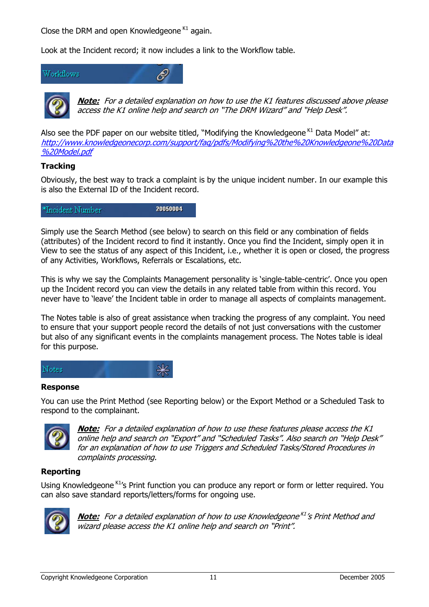<span id="page-10-0"></span>Close the DRM and open Knowledgeone  $K1$  again.

Look at the Incident record; it now includes a link to the Workflow table.





**<u>Note:</u> For a detailed explanation on how to use the K1 features discussed above please** access the K1 online help and search on "The DRM Wizard" and "Help Desk".

<u>http://www.knowledgeonecorp.com/support[/faq/pdfs/Modifying%20the%20Knowledgeone%20Data](http://www.knowledgeonecorp.com/support/faq/pdfs/Modifying the Knowledgeone Data Model.pdf)</u> Also see the PDF paper on our website titled, "Modifying the Knowledgeone  $K1$  Data Model" at: [%20Model.pdf](http://www.knowledgeonecorp.com/support/faq/pdfs/Modifying the Knowledgeone Data Model.pdf)

#### **Tracking**

Obviously, the best way to track a complaint is by the unique incident number. In our example this is also the External ID of the Incident record.

20050004 \*Incident Number

Simply use the Search Method (see below) to search on this field or any combination of fields (attributes) of the Incident record to find it instantly. Once you find the Incident, simply open it in View to see the status of any aspect of this Incident, i.e., whether it is open or closed, the progress of any Activities, Workflows, Referrals or Escalations, etc.

This is why we say the Complaints Management personality is 'single-table-centric'. Once you open up the Incident record you can view the details in any related table from within this record. You never have to 'leave' the Incident table in order to manage all aspects of complaints management.

The Notes table is also of great assistance when tracking the progress of any complaint. You need to ensure that your support people record the details of not just conversations with the customer but also of any significant events in the complaints management process. The Notes table is ideal for this purpose.



#### **Response**

You can use the Print Method (see Reporting below) or the Export Method or a Scheduled Task to respond to the complainant.



**<u>Note:</u> For a detailed explanation of how to use these features please access the K1** online help and search on "Export" and "Scheduled Tasks". Also search on "Help Desk" for an explanation of how to use Triggers and Scheduled Tasks/Stored Procedures in complaints processing.

#### **Reporting**

Using Knowledgeone K<sub>1</sub>'s Print function you can produce any report or form or letter required. You can also save standard reports/letters/forms for ongoing use.



**Note:** For a detailed explanation of how to use Knowledgeone<sup>K1</sup>'s Print Method and wizard please access the K1 online help and search on "Print".